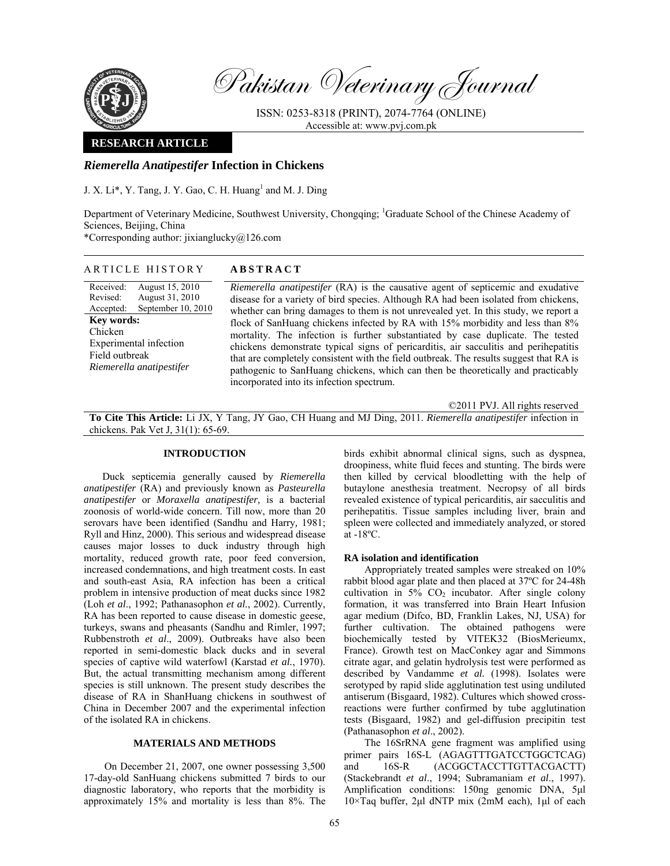

Pakistan Veterinary Journal

ISSN: 0253-8318 (PRINT), 2074-7764 (ONLINE) Accessible at: www.pvj.com.pk

### **RESEARCH ARTICLE**

## *Riemerella Anatipestifer* **Infection in Chickens**

J. X. Li\*, Y. Tang, J. Y. Gao, C. H. Huang<sup>1</sup> and M. J. Ding

Department of Veterinary Medicine, Southwest University, Chongqing; <sup>1</sup>Graduate School of the Chinese Academy of Sciences, Beijing, China

\*Corresponding author: jixianglucky@126.com

| ARTICLE HISTORY                                                                                                                                                                                        | <b>ABSTRACT</b>                                                                                                                                                                                                                                                                                                                                                                                                                                                                                                                                                                                                                                                                                                                                              |
|--------------------------------------------------------------------------------------------------------------------------------------------------------------------------------------------------------|--------------------------------------------------------------------------------------------------------------------------------------------------------------------------------------------------------------------------------------------------------------------------------------------------------------------------------------------------------------------------------------------------------------------------------------------------------------------------------------------------------------------------------------------------------------------------------------------------------------------------------------------------------------------------------------------------------------------------------------------------------------|
| Received:<br>August 15, 2010<br>Revised:<br>August 31, 2010<br>September 10, 2010<br>Accepted:<br><b>Key words:</b><br>Chicken<br>Experimental infection<br>Field outbreak<br>Riemerella anatipestifer | <i>Riemerella anatipestifer</i> (RA) is the causative agent of septicemic and exudative<br>disease for a variety of bird species. Although RA had been isolated from chickens,<br>whether can bring damages to them is not unrevealed yet. In this study, we report a<br>flock of SanHuang chickens infected by RA with 15% morbidity and less than 8%<br>mortality. The infection is further substantiated by case duplicate. The tested<br>chickens demonstrate typical signs of pericarditis, air sacculitis and perihepatitis<br>that are completely consistent with the field outbreak. The results suggest that RA is<br>pathogenic to SanHuang chickens, which can then be theoretically and practicably<br>incorporated into its infection spectrum. |
|                                                                                                                                                                                                        | $@2011$ DVII. All $m$ -kets nossemind                                                                                                                                                                                                                                                                                                                                                                                                                                                                                                                                                                                                                                                                                                                        |

©2011 PVJ. All rights reserved

**To Cite This Article:** Li JX, Y Tang, JY Gao, CH Huang and MJ Ding, 2011. *Riemerella anatipestifer* infection in chickens. Pak Vet J, 31(1): 65-69.

### **INTRODUCTION**

Duck septicemia generally caused by *Riemerella anatipestifer* (RA) and previously known as *Pasteurella anatipestifer* or *Moraxella anatipestifer,* is a bacterial zoonosis of world-wide concern. Till now, more than 20 serovars have been identified (Sandhu and Harry*,* 1981; Ryll and Hinz, 2000). This serious and widespread disease causes major losses to duck industry through high mortality, reduced growth rate, poor feed conversion, increased condemnations, and high treatment costs. In east and south-east Asia, RA infection has been a critical problem in intensive production of meat ducks since 1982 (Loh *et al*., 1992; Pathanasophon *et al.*, 2002). Currently, RA has been reported to cause disease in domestic geese, turkeys, swans and pheasants (Sandhu and Rimler, 1997; Rubbenstroth *et al*., 2009). Outbreaks have also been reported in semi-domestic black ducks and in several species of captive wild waterfowl (Karstad *et al.*, 1970). But, the actual transmitting mechanism among different species is still unknown. The present study describes the disease of RA in ShanHuang chickens in southwest of China in December 2007 and the experimental infection of the isolated RA in chickens.

### **MATERIALS AND METHODS**

On December 21, 2007, one owner possessing 3,500 17-day-old SanHuang chickens submitted 7 birds to our diagnostic laboratory, who reports that the morbidity is approximately 15% and mortality is less than 8%. The

birds exhibit abnormal clinical signs, such as dyspnea, droopiness, white fluid feces and stunting. The birds were then killed by cervical bloodletting with the help of butaylone anesthesia treatment. Necropsy of all birds revealed existence of typical pericarditis, air sacculitis and perihepatitis. Tissue samples including liver, brain and spleen were collected and immediately analyzed, or stored at -18ºC.

#### **RA isolation and identification**

Appropriately treated samples were streaked on 10% rabbit blood agar plate and then placed at 37ºC for 24-48h cultivation in  $5\%$  CO<sub>2</sub> incubator. After single colony formation, it was transferred into Brain Heart Infusion agar medium (Difco, BD, Franklin Lakes, NJ, USA) for further cultivation. The obtained pathogens were biochemically tested by VITEK32 (BiosMerieumx, France). Growth test on MacConkey agar and Simmons citrate agar, and gelatin hydrolysis test were performed as described by Vandamme *et al.* (1998). Isolates were serotyped by rapid slide agglutination test using undiluted antiserum (Bisgaard, 1982). Cultures which showed crossreactions were further confirmed by tube agglutination tests (Bisgaard, 1982) and gel-diffusion precipitin test (Pathanasophon *et al*., 2002).

The 16SrRNA gene fragment was amplified using primer pairs 16S-L (AGAGTTTGATCCTGGCTCAG) and 16S-R (ACGGCTACCTTGTTACGACTT) (Stackebrandt *et al*., 1994; Subramaniam *et al*., 1997). Amplification conditions: 150ng genomic DNA, 5µl 10×Taq buffer, 2µl dNTP mix (2mM each), 1µl of each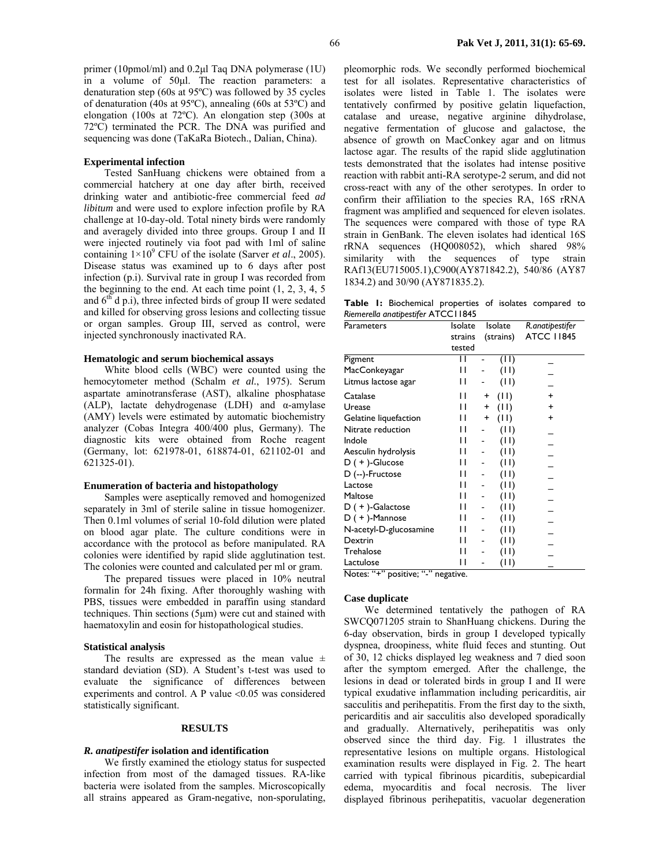primer (10pmol/ml) and 0.2µl Taq DNA polymerase (1U) in a volume of 50µl. The reaction parameters: a denaturation step (60s at 95ºC) was followed by 35 cycles of denaturation (40s at 95ºC), annealing (60s at 53ºC) and elongation (100s at 72ºC). An elongation step (300s at 72ºC) terminated the PCR. The DNA was purified and sequencing was done (TaKaRa Biotech., Dalian, China).

## **Experimental infection**

Tested SanHuang chickens were obtained from a commercial hatchery at one day after birth, received drinking water and antibiotic-free commercial feed *ad libitum* and were used to explore infection profile by RA challenge at 10-day-old. Total ninety birds were randomly and averagely divided into three groups. Group I and II were injected routinely via foot pad with 1ml of saline containing  $1 \times 10^9$  CFU of the isolate (Sarver *et al.*, 2005). Disease status was examined up to 6 days after post infection (p.i). Survival rate in group I was recorded from the beginning to the end. At each time point (1, 2, 3, 4, 5 and  $6<sup>th</sup>$  d p.i), three infected birds of group II were sedated and killed for observing gross lesions and collecting tissue or organ samples. Group III, served as control, were injected synchronously inactivated RA.

### **Hematologic and serum biochemical assays**

White blood cells (WBC) were counted using the hemocytometer method (Schalm *et al.*, 1975). Serum aspartate aminotransferase (AST), alkaline phosphatase (ALP), lactate dehydrogenase (LDH) and α-amylase (AMY) levels were estimated by automatic biochemistry analyzer (Cobas Integra 400/400 plus, Germany). The diagnostic kits were obtained from Roche reagent (Germany, lot: 621978-01, 618874-01, 621102-01 and 621325-01).

### **Enumeration of bacteria and histopathology**

Samples were aseptically removed and homogenized separately in 3ml of sterile saline in tissue homogenizer. Then 0.1ml volumes of serial 10-fold dilution were plated on blood agar plate. The culture conditions were in accordance with the protocol as before manipulated. RA colonies were identified by rapid slide agglutination test. The colonies were counted and calculated per ml or gram.

The prepared tissues were placed in 10% neutral formalin for 24h fixing. After thoroughly washing with PBS, tissues were embedded in paraffin using standard techniques. Thin sections (5µm) were cut and stained with haematoxylin and eosin for histopathological studies.

#### **Statistical analysis**

The results are expressed as the mean value  $\pm$ standard deviation (SD). A Student's t-test was used to evaluate the significance of differences between experiments and control. A P value <0.05 was considered statistically significant.

### **RESULTS**

## *R. anatipestifer* **isolation and identification**

We firstly examined the etiology status for suspected infection from most of the damaged tissues. RA-like bacteria were isolated from the samples. Microscopically all strains appeared as Gram-negative, non-sporulating,

pleomorphic rods. We secondly performed biochemical test for all isolates. Representative characteristics of isolates were listed in Table 1. The isolates were tentatively confirmed by positive gelatin liquefaction, catalase and urease, negative arginine dihydrolase, negative fermentation of glucose and galactose, the absence of growth on MacConkey agar and on litmus lactose agar. The results of the rapid slide agglutination tests demonstrated that the isolates had intense positive reaction with rabbit anti-RA serotype-2 serum, and did not cross-react with any of the other serotypes. In order to confirm their affiliation to the species RA, 16S rRNA fragment was amplified and sequenced for eleven isolates. The sequences were compared with those of type RA strain in GenBank. The eleven isolates had identical 16S rRNA sequences (HQ008052), which shared 98% similarity with the sequences of type strain RAf13(EU715005.1),C900(AY871842.2), 540/86 (AY87 1834.2) and 30/90 (AY871835.2).

**Table 1:** Biochemical properties of isolates compared to *Riemerella anatipestifer* ATCC11845

| Parameters                         | Isolate | Isolate           | R.anatipestifer   |
|------------------------------------|---------|-------------------|-------------------|
|                                    | strains | (strains)         | <b>ATCC 11845</b> |
|                                    | tested  |                   |                   |
| Pigment                            | Н       | (11)              |                   |
| MacConkeyagar                      | Н       | (11)              |                   |
| Litmus lactose agar                | Н       | (11)              |                   |
| Catalase                           | П       | (11)<br>+         | +                 |
| Urease                             | П       | (11)<br>$\ddot{}$ | +                 |
| Gelatine liquefaction              | П       | (11)<br>+         | +                 |
| Nitrate reduction                  | П       | (11)              |                   |
| Indole                             | Н       | (11)              |                   |
| Aesculin hydrolysis                | П       | (11)              |                   |
| $D (+)$ -Glucose                   | Н       | (11)              |                   |
| D (--)-Fructose                    | Н       | (11)              |                   |
| Lactose                            | Н       | (11)              |                   |
| Maltose                            | Н       | (11)              |                   |
| $D (+)$ -Galactose                 | Н       | (11)              |                   |
| $D (+)$ -Mannose                   | Н       | (11)              |                   |
| N-acetyl-D-glucosamine             | Н       | (11)              |                   |
| Dextrin                            | Н       | (11)              |                   |
| Trehalose                          | Н       | (11)              |                   |
| Lactulose                          | Н       | (11)              |                   |
| Notes: "+" positive; "-" negative. |         |                   |                   |

### **Case duplicate**

We determined tentatively the pathogen of RA SWCQ071205 strain to ShanHuang chickens. During the 6-day observation, birds in group I developed typically dyspnea, droopiness, white fluid feces and stunting. Out of 30, 12 chicks displayed leg weakness and 7 died soon after the symptom emerged. After the challenge, the lesions in dead or tolerated birds in group I and II were typical exudative inflammation including pericarditis, air sacculitis and perihepatitis. From the first day to the sixth, pericarditis and air sacculitis also developed sporadically and gradually. Alternatively, perihepatitis was only observed since the third day. Fig. 1 illustrates the representative lesions on multiple organs. Histological examination results were displayed in Fig. 2. The heart carried with typical fibrinous picarditis, subepicardial edema, myocarditis and focal necrosis. The liver displayed fibrinous perihepatitis, vacuolar degeneration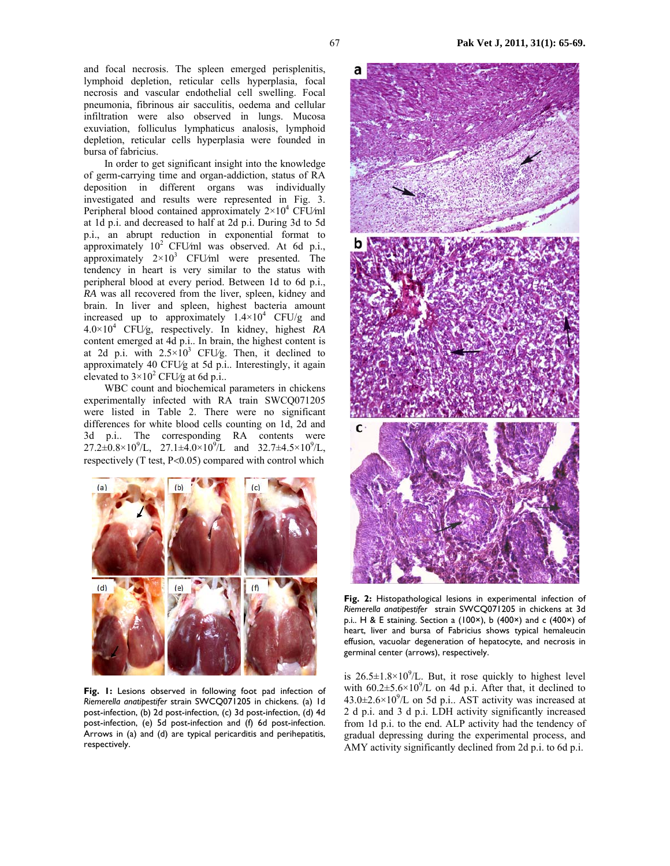In order to get significant insight into the knowledge of germ-carrying time and organ-addiction, status of RA deposition in different organs was individually investigated and results were represented in Fig. 3. Peripheral blood contained approximately  $2 \times 10^4$  CFU/ml at 1d p.i. and decreased to half at 2d p.i. During 3d to 5d p.i., an abrupt reduction in exponential format to approximately 10<sup>2</sup> CFU/ml was observed. At 6d p.i., approximately  $2 \times 10^3$  CFU/ml were presented. The tendency in heart is very similar to the status with peripheral blood at every period. Between 1d to 6d p.i., *RA* was all recovered from the liver, spleen, kidney and brain. In liver and spleen, highest bacteria amount increased up to approximately  $1.4 \times 10^4$  CFU/g and 4.0×10<sup>4</sup> CFU⁄g, respectively. In kidney, highest *RA* content emerged at 4d p.i.. In brain, the highest content is at 2d p.i. with  $2.5 \times 10^3$  CFU/g. Then, it declined to approximately 40 CFU⁄g at 5d p.i.. Interestingly, it again elevated to  $3 \times 10^2$  CFU/g at 6d p.i..

WBC count and biochemical parameters in chickens experimentally infected with RA train SWCQ071205 were listed in Table 2. There were no significant differences for white blood cells counting on 1d, 2d and 3d p.i.. The corresponding RA contents were  $27.2\pm 0.8\times10^{9}/L$ ,  $27.1\pm 4.0\times10^{9}/L$  and  $32.7\pm 4.5\times10^{9}/L$ , respectively (T test, P<0.05) compared with control which



**Fig. 1:** Lesions observed in following foot pad infection of *Riemerella anatipestifer* strain SWCQ071205 in chickens. (a) 1d post-infection, (b) 2d post-infection, (c) 3d post-infection, (d) 4d post-infection, (e) 5d post-infection and (f) 6d post-infection. Arrows in (a) and (d) are typical pericarditis and perihepatitis, respectively.



**Fig. 2:** Histopathological lesions in experimental infection of *Riemerella anatipestifer* strain SWCQ071205 in chickens at 3d p.i.. H & E staining. Section a (100×), b (400×) and c (400×) of heart, liver and bursa of Fabricius shows typical hemaleucin effusion, vacuolar degeneration of hepatocyte, and necrosis in germinal center (arrows), respectively.

is  $26.5 \pm 1.8 \times 10^9$ /L. But, it rose quickly to highest level with  $60.2 \pm 5.6 \times 10^9$ /L on 4d p.i. After that, it declined to  $43.0 \pm 2.6 \times 10^{9}$ /L on 5d p.i.. AST activity was increased at 2 d p.i. and 3 d p.i. LDH activity significantly increased from 1d p.i. to the end. ALP activity had the tendency of gradual depressing during the experimental process, and AMY activity significantly declined from 2d p.i. to 6d p.i.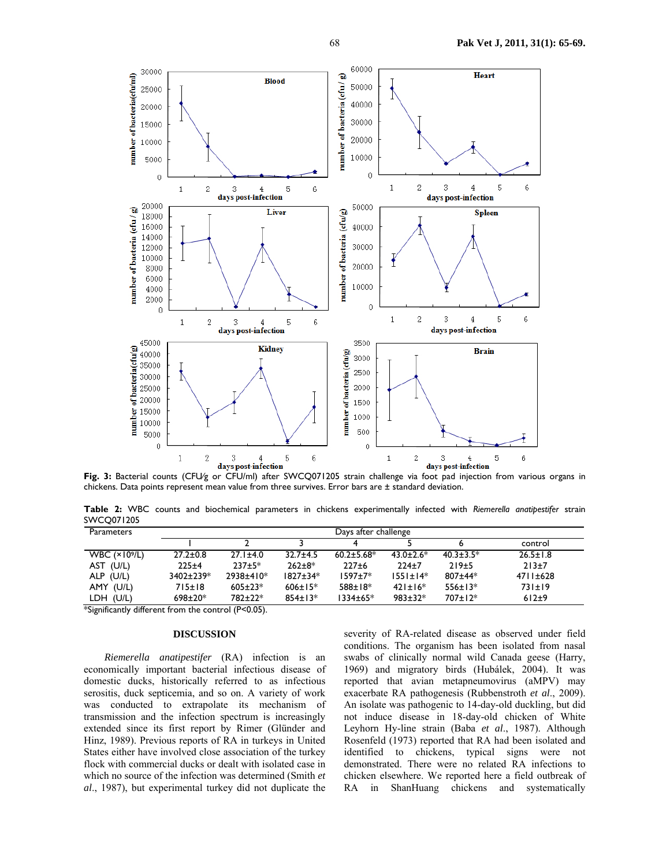

days post-infection<br>**Fig. 3:** Bacterial counts (CFU/g or CFU/ml) after SWCQ071205 strain challenge via foot pad injection from various organs in chickens. Data points represent mean value from three survives. Error bars are ± standard deviation.

**Table 2:** WBC counts and biochemical parameters in chickens experimentally infected with *Riemerella anatipestifer* strain SWCQ071205

| Parameters            | Days after challenge |                |                |                   |                  |                  |                |  |
|-----------------------|----------------------|----------------|----------------|-------------------|------------------|------------------|----------------|--|
|                       |                      |                |                |                   |                  |                  | control        |  |
| WBC $(\times 10^9/L)$ | $27.2 \pm 0.8$       | $27.1 \pm 4.0$ | $32.7 + 4.5$   | $60.2 \pm 5.68$ * | $43.0 \pm 2.6^*$ | $40.3 \pm 3.5^*$ | $26.5 \pm 1.8$ |  |
| AST (U/L)             | $225 + 4$            | $237+5*$       | $262 + 8*$     | $227+6$           | $224+7$          | 219±5            | $213+7$        |  |
| ALP (U/L)             | $3402 \pm 239*$      | 2938±410*      | $1827 \pm 34*$ | $1597 + 7*$       | $1551 \pm 14*$   | $807 + 44*$      | $4711 \pm 628$ |  |
| AMY (U/L)             | 715±18               | $605 \pm 23*$  | $606 \pm 15*$  | $588 \pm 18*$     | $421 \pm 16*$    | $556 \pm 13*$    | 731±19         |  |
| LDH (U/L)             | $698 \pm 20*$        | 782±22*        | $854 \pm 13*$  | 1334±65*          | $983 \pm 32*$    | $707 \pm 12*$    | $612+9$        |  |

\*Significantly different from the control (P<0.05).

# **DISCUSSION**

*Riemerella anatipestifer* (RA) infection is an economically important bacterial infectious disease of domestic ducks, historically referred to as infectious serositis, duck septicemia, and so on. A variety of work was conducted to extrapolate its mechanism of transmission and the infection spectrum is increasingly extended since its first report by Rimer (Glünder and Hinz, 1989). Previous reports of RA in turkeys in United States either have involved close association of the turkey flock with commercial ducks or dealt with isolated case in which no source of the infection was determined (Smith *et al*., 1987), but experimental turkey did not duplicate the

severity of RA-related disease as observed under field conditions. The organism has been isolated from nasal swabs of clinically normal wild Canada geese (Harry, 1969) and migratory birds (Hubálek, 2004). It was reported that avian metapneumovirus (aMPV) may exacerbate RA pathogenesis (Rubbenstroth *et al*., 2009). An isolate was pathogenic to 14-day-old duckling, but did not induce disease in 18-day-old chicken of White Leyhorn Hy-line strain (Baba *et al*., 1987). Although Rosenfeld (1973) reported that RA had been isolated and identified to chickens, typical signs were not demonstrated. There were no related RA infections to chicken elsewhere. We reported here a field outbreak of RA in ShanHuang chickens and systematically